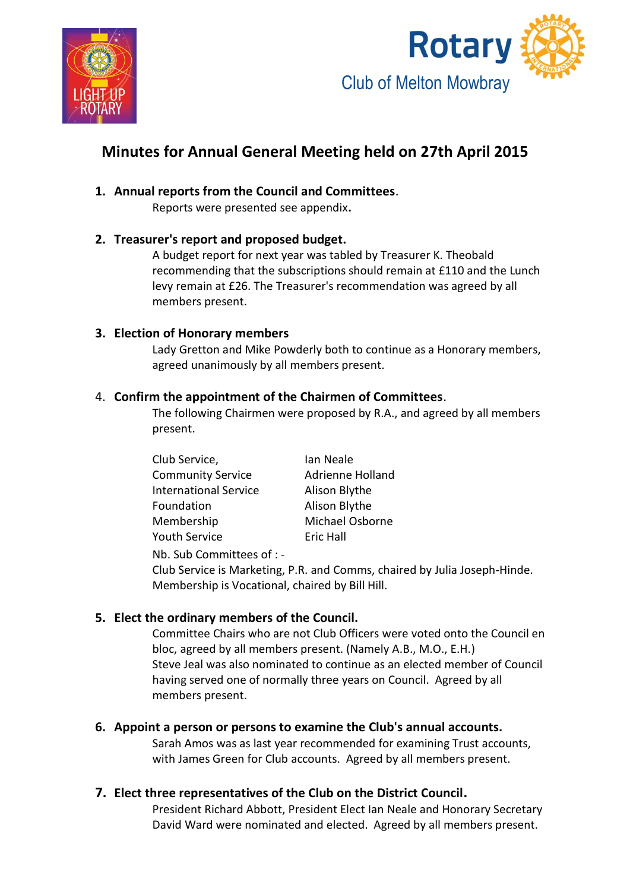



## **Minutes for Annual General Meeting held on 27th April 2015**

### **1. Annual reports from the Council and Committees**.

Reports were presented see appendix**.**

### **2. Treasurer's report and proposed budget.**

A budget report for next year was tabled by Treasurer K. Theobald recommending that the subscriptions should remain at £110 and the Lunch levy remain at £26. The Treasurer's recommendation was agreed by all members present.

### **3. Election of Honorary members**

Lady Gretton and Mike Powderly both to continue as a Honorary members, agreed unanimously by all members present.

### 4. **Confirm the appointment of the Chairmen of Committees**.

The following Chairmen were proposed by R.A., and agreed by all members present.

| Club Service,                | Ian Neale        |
|------------------------------|------------------|
| <b>Community Service</b>     | Adrienne Holland |
| <b>International Service</b> | Alison Blythe    |
| Foundation                   | Alison Blythe    |
| Membership                   | Michael Osborne  |
| Youth Service                | Eric Hall        |

Nb. Sub Committees of : -

Club Service is Marketing, P.R. and Comms, chaired by Julia Joseph-Hinde. Membership is Vocational, chaired by Bill Hill.

### **5. Elect the ordinary members of the Council.**

Committee Chairs who are not Club Officers were voted onto the Council en bloc, agreed by all members present. (Namely A.B., M.O., E.H.) Steve Jeal was also nominated to continue as an elected member of Council having served one of normally three years on Council. Agreed by all members present.

### **6. Appoint a person or persons to examine the Club's annual accounts.**

Sarah Amos was as last year recommended for examining Trust accounts, with James Green for Club accounts. Agreed by all members present.

### **7. Elect three representatives of the Club on the District Council.**

President Richard Abbott, President Elect Ian Neale and Honorary Secretary David Ward were nominated and elected. Agreed by all members present.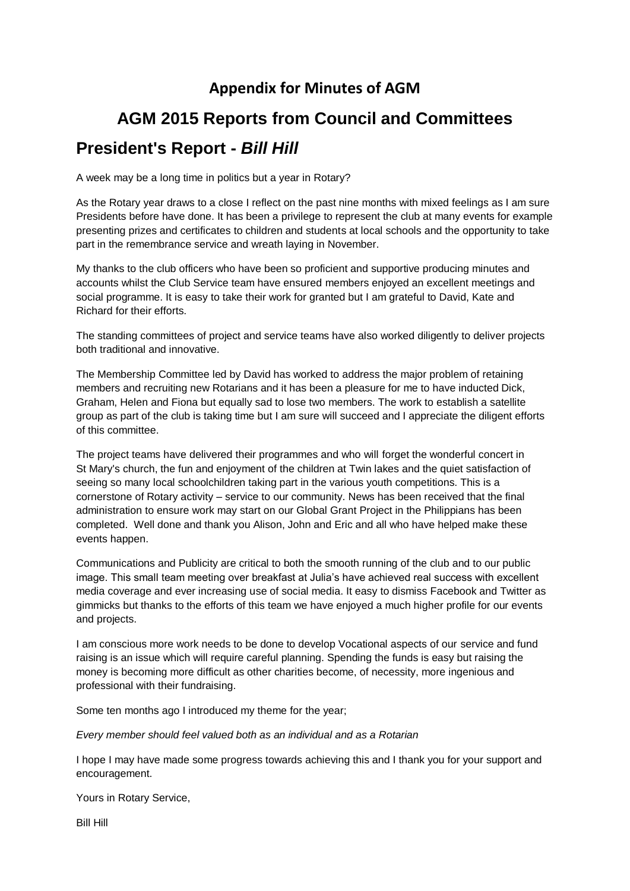### **Appendix for Minutes of AGM**

# **AGM 2015 Reports from Council and Committees**

## **President's Report -** *Bill Hill*

A week may be a long time in politics but a year in Rotary?

As the Rotary year draws to a close I reflect on the past nine months with mixed feelings as I am sure Presidents before have done. It has been a privilege to represent the club at many events for example presenting prizes and certificates to children and students at local schools and the opportunity to take part in the remembrance service and wreath laying in November.

My thanks to the club officers who have been so proficient and supportive producing minutes and accounts whilst the Club Service team have ensured members enjoyed an excellent meetings and social programme. It is easy to take their work for granted but I am grateful to David, Kate and Richard for their efforts.

The standing committees of project and service teams have also worked diligently to deliver projects both traditional and innovative.

The Membership Committee led by David has worked to address the major problem of retaining members and recruiting new Rotarians and it has been a pleasure for me to have inducted Dick, Graham, Helen and Fiona but equally sad to lose two members. The work to establish a satellite group as part of the club is taking time but I am sure will succeed and I appreciate the diligent efforts of this committee.

The project teams have delivered their programmes and who will forget the wonderful concert in St Mary's church, the fun and enjoyment of the children at Twin lakes and the quiet satisfaction of seeing so many local schoolchildren taking part in the various youth competitions. This is a cornerstone of Rotary activity – service to our community. News has been received that the final administration to ensure work may start on our Global Grant Project in the Philippians has been completed. Well done and thank you Alison, John and Eric and all who have helped make these events happen.

Communications and Publicity are critical to both the smooth running of the club and to our public image. This small team meeting over breakfast at Julia's have achieved real success with excellent media coverage and ever increasing use of social media. It easy to dismiss Facebook and Twitter as gimmicks but thanks to the efforts of this team we have enjoyed a much higher profile for our events and projects.

I am conscious more work needs to be done to develop Vocational aspects of our service and fund raising is an issue which will require careful planning. Spending the funds is easy but raising the money is becoming more difficult as other charities become, of necessity, more ingenious and professional with their fundraising.

Some ten months ago I introduced my theme for the year;

*Every member should feel valued both as an individual and as a Rotarian*

I hope I may have made some progress towards achieving this and I thank you for your support and encouragement.

Yours in Rotary Service,

Bill Hill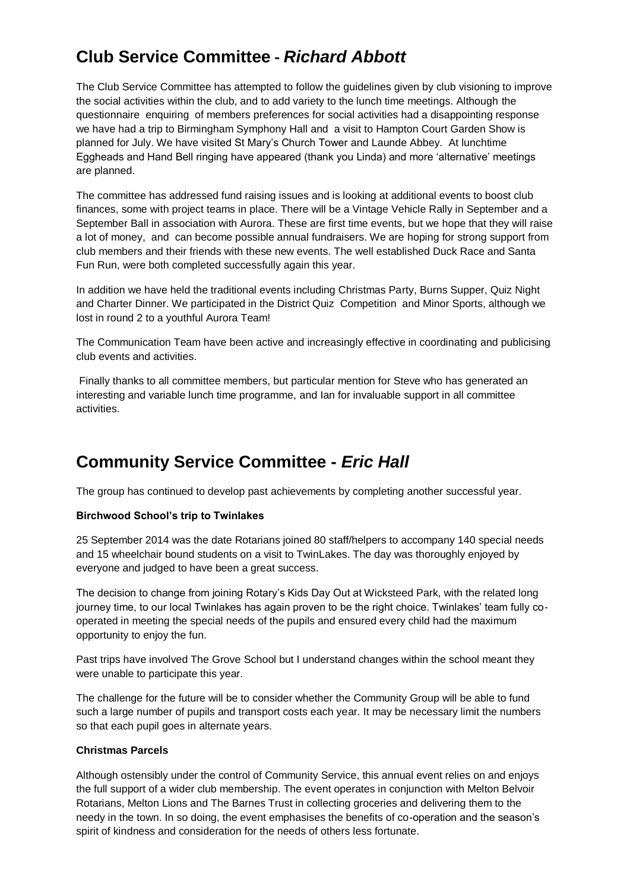## **Club Service Committee -** *Richard Abbott*

The Club Service Committee has attempted to follow the guidelines given by club visioning to improve the social activities within the club, and to add variety to the lunch time meetings. Although the questionnaire enquiring of members preferences for social activities had a disappointing response we have had a trip to Birmingham Symphony Hall and a visit to Hampton Court Garden Show is planned for July. We have visited St Mary's Church Tower and Launde Abbey. At lunchtime Eggheads and Hand Bell ringing have appeared (thank you Linda) and more 'alternative' meetings are planned.

The committee has addressed fund raising issues and is looking at additional events to boost club finances, some with project teams in place. There will be a Vintage Vehicle Rally in September and a September Ball in association with Aurora. These are first time events, but we hope that they will raise a lot of money, and can become possible annual fundraisers. We are hoping for strong support from club members and their friends with these new events. The well established Duck Race and Santa Fun Run, were both completed successfully again this year.

In addition we have held the traditional events including Christmas Party, Burns Supper, Quiz Night and Charter Dinner. We participated in the District Quiz Competition and Minor Sports, although we lost in round 2 to a youthful Aurora Team!

The Communication Team have been active and increasingly effective in coordinating and publicising club events and activities.

Finally thanks to all committee members, but particular mention for Steve who has generated an interesting and variable lunch time programme, and Ian for invaluable support in all committee activities.

## **Community Service Committee -** *Eric Hall*

The group has continued to develop past achievements by completing another successful year.

#### **Birchwood School's trip to Twinlakes**

25 September 2014 was the date Rotarians joined 80 staff/helpers to accompany 140 special needs and 15 wheelchair bound students on a visit to TwinLakes. The day was thoroughly enjoyed by everyone and judged to have been a great success.

The decision to change from joining Rotary's Kids Day Out at Wicksteed Park, with the related long journey time, to our local Twinlakes has again proven to be the right choice. Twinlakes' team fully cooperated in meeting the special needs of the pupils and ensured every child had the maximum opportunity to enjoy the fun.

Past trips have involved The Grove School but I understand changes within the school meant they were unable to participate this year.

The challenge for the future will be to consider whether the Community Group will be able to fund such a large number of pupils and transport costs each year. It may be necessary limit the numbers so that each pupil goes in alternate years.

#### **Christmas Parcels**

Although ostensibly under the control of Community Service, this annual event relies on and enjoys the full support of a wider club membership. The event operates in conjunction with Melton Belvoir Rotarians, Melton Lions and The Barnes Trust in collecting groceries and delivering them to the needy in the town. In so doing, the event emphasises the benefits of co-operation and the season's spirit of kindness and consideration for the needs of others less fortunate.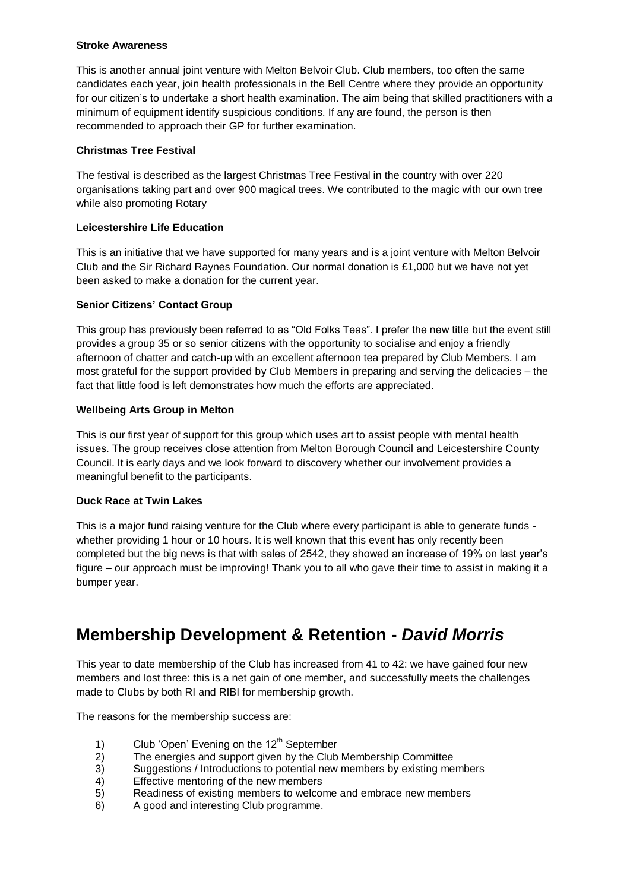#### **Stroke Awareness**

This is another annual joint venture with Melton Belvoir Club. Club members, too often the same candidates each year, join health professionals in the Bell Centre where they provide an opportunity for our citizen's to undertake a short health examination. The aim being that skilled practitioners with a minimum of equipment identify suspicious conditions. If any are found, the person is then recommended to approach their GP for further examination.

#### **Christmas Tree Festival**

The festival is described as the largest Christmas Tree Festival in the country with over 220 organisations taking part and over 900 magical trees. We contributed to the magic with our own tree while also promoting Rotary

#### **Leicestershire Life Education**

This is an initiative that we have supported for many years and is a joint venture with Melton Belvoir Club and the Sir Richard Raynes Foundation. Our normal donation is £1,000 but we have not yet been asked to make a donation for the current year.

#### **Senior Citizens' Contact Group**

This group has previously been referred to as "Old Folks Teas". I prefer the new title but the event still provides a group 35 or so senior citizens with the opportunity to socialise and enjoy a friendly afternoon of chatter and catch-up with an excellent afternoon tea prepared by Club Members. I am most grateful for the support provided by Club Members in preparing and serving the delicacies – the fact that little food is left demonstrates how much the efforts are appreciated.

#### **Wellbeing Arts Group in Melton**

This is our first year of support for this group which uses art to assist people with mental health issues. The group receives close attention from Melton Borough Council and Leicestershire County Council. It is early days and we look forward to discovery whether our involvement provides a meaningful benefit to the participants.

#### **Duck Race at Twin Lakes**

This is a major fund raising venture for the Club where every participant is able to generate funds whether providing 1 hour or 10 hours. It is well known that this event has only recently been completed but the big news is that with sales of 2542, they showed an increase of 19% on last year's figure – our approach must be improving! Thank you to all who gave their time to assist in making it a bumper year.

## **Membership Development & Retention -** *David Morris*

This year to date membership of the Club has increased from 41 to 42: we have gained four new members and lost three: this is a net gain of one member, and successfully meets the challenges made to Clubs by both RI and RIBI for membership growth.

The reasons for the membership success are:

- 1) Club 'Open' Evening on the  $12<sup>th</sup>$  September
- 2) The energies and support given by the Club Membership Committee
- 3) Suggestions / Introductions to potential new members by existing members
- 4) Effective mentoring of the new members
- 5) Readiness of existing members to welcome and embrace new members
- 6) A good and interesting Club programme.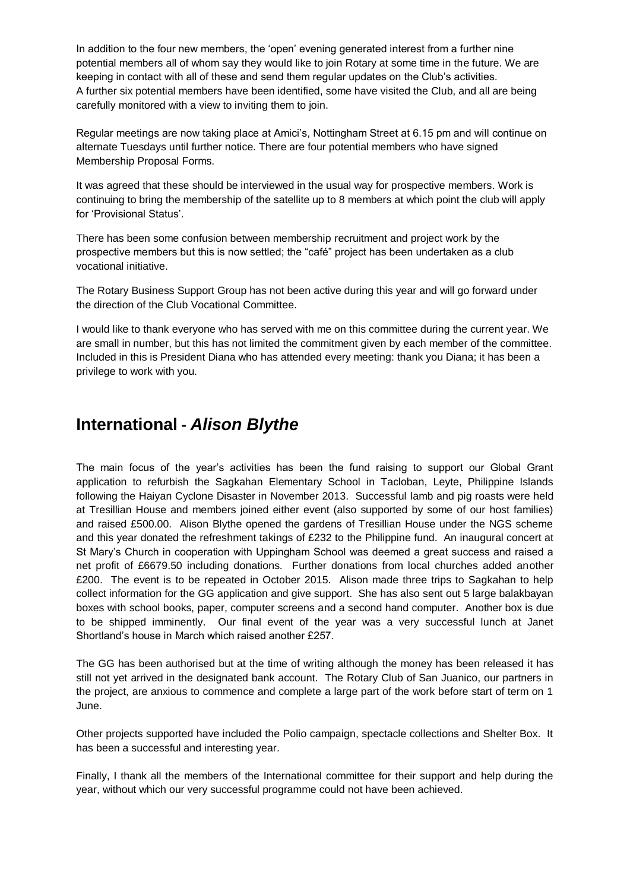In addition to the four new members, the 'open' evening generated interest from a further nine potential members all of whom say they would like to join Rotary at some time in the future. We are keeping in contact with all of these and send them regular updates on the Club's activities. A further six potential members have been identified, some have visited the Club, and all are being carefully monitored with a view to inviting them to join.

Regular meetings are now taking place at Amici's, Nottingham Street at 6.15 pm and will continue on alternate Tuesdays until further notice. There are four potential members who have signed Membership Proposal Forms.

It was agreed that these should be interviewed in the usual way for prospective members. Work is continuing to bring the membership of the satellite up to 8 members at which point the club will apply for 'Provisional Status'.

There has been some confusion between membership recruitment and project work by the prospective members but this is now settled; the "café" project has been undertaken as a club vocational initiative.

The Rotary Business Support Group has not been active during this year and will go forward under the direction of the Club Vocational Committee.

I would like to thank everyone who has served with me on this committee during the current year. We are small in number, but this has not limited the commitment given by each member of the committee. Included in this is President Diana who has attended every meeting: thank you Diana; it has been a privilege to work with you.

### **International -** *Alison Blythe*

The main focus of the year's activities has been the fund raising to support our Global Grant application to refurbish the Sagkahan Elementary School in Tacloban, Leyte, Philippine Islands following the Haiyan Cyclone Disaster in November 2013. Successful lamb and pig roasts were held at Tresillian House and members joined either event (also supported by some of our host families) and raised £500.00. Alison Blythe opened the gardens of Tresillian House under the NGS scheme and this year donated the refreshment takings of £232 to the Philippine fund. An inaugural concert at St Mary's Church in cooperation with Uppingham School was deemed a great success and raised a net profit of £6679.50 including donations. Further donations from local churches added another £200. The event is to be repeated in October 2015. Alison made three trips to Sagkahan to help collect information for the GG application and give support. She has also sent out 5 large balakbayan boxes with school books, paper, computer screens and a second hand computer. Another box is due to be shipped imminently. Our final event of the year was a very successful lunch at Janet Shortland's house in March which raised another £257.

The GG has been authorised but at the time of writing although the money has been released it has still not yet arrived in the designated bank account. The Rotary Club of San Juanico, our partners in the project, are anxious to commence and complete a large part of the work before start of term on 1 June.

Other projects supported have included the Polio campaign, spectacle collections and Shelter Box. It has been a successful and interesting year.

Finally, I thank all the members of the International committee for their support and help during the year, without which our very successful programme could not have been achieved.